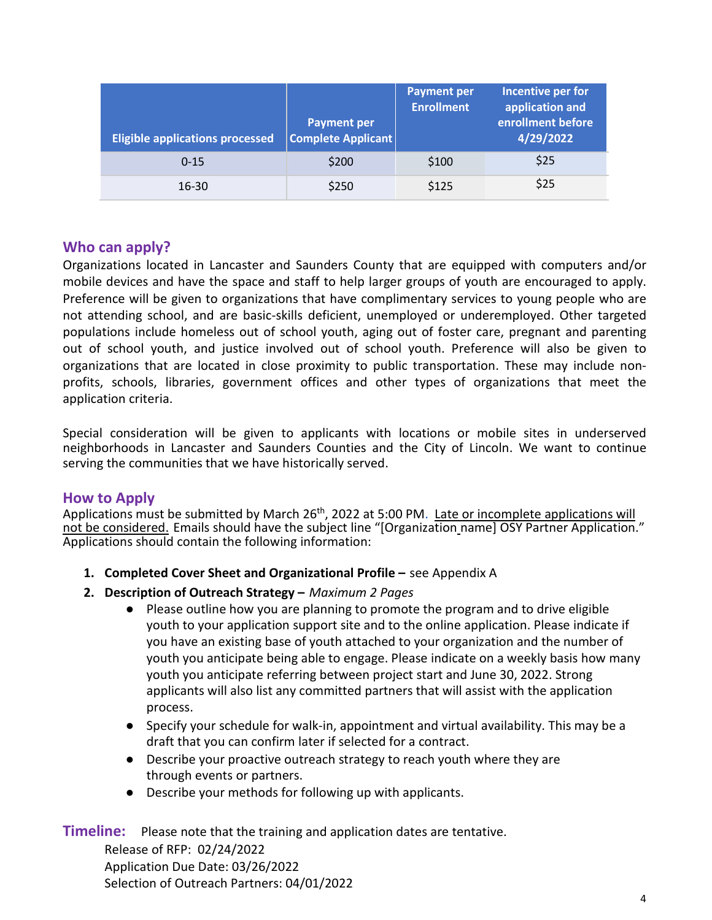| <b>Eligible applications processed</b> | <b>Payment per</b><br>Complete Applicant | <b>Payment per</b><br><b>Enrollment</b> | Incentive per for<br>application and<br>enrollment before<br>4/29/2022 |
|----------------------------------------|------------------------------------------|-----------------------------------------|------------------------------------------------------------------------|
| $0 - 15$                               | \$200                                    | \$100                                   | \$25                                                                   |
| 16-30                                  | \$250                                    | \$125                                   | \$25                                                                   |

# **Who can apply?**

Organizations located in Lancaster and Saunders County that are equipped with computers and/or mobile devices and have the space and staff to help larger groups of youth are encouraged to apply. Preference will be given to organizations that have complimentary services to young people who are not attending school, and are basic-skills deficient, unemployed or underemployed. Other targeted populations include homeless out of school youth, aging out of foster care, pregnant and parenting out of school youth, and justice involved out of school youth. Preference will also be given to organizations that are located in close proximity to public transportation. These may include nonprofits, schools, libraries, government offices and other types of organizations that meet the application criteria.

Special consideration will be given to applicants with locations or mobile sites in underserved neighborhoods in Lancaster and Saunders Counties and the City of Lincoln. We want to continue serving the communities that we have historically served.

#### **How to Apply**

Applications must be submitted by 陋图 th, 2022 at 5:00 PM. Late or incomplete applications will not be considered. Emails should have the subject line "[Organization name] OSY Partner Application." Applications should contain the following information:

- **1. Completed Cover Sheet and Organizational Profile –** see Appendix A
- **2. Description of Outreach Strategy –** *Maximum 2 Pages*
	- Please outline how you are planning to promote the program and to drive eligible youth to your application support site and to the online application. Please indicate if you have an existing base of youth attached to your organization and the number of youth you anticipate being able to engage. Please indicate on a weekly basis how many youth you anticipate referring between project start and June 30, 2022. Strong applicants will also list any committed partners that will assist with the application process.
	- Specify your schedule for walk-in, appointment and virtual availability. This may be a draft that you can confirm later if selected for a contract.
	- Describe your proactive outreach strategy to reach youth where they are through events or partners.
	- Describe your methods for following up with applicants.

**Timeline:** Please note that the training and application dates are tentative.

Release of RFP: 02/24/2022 Application Due Date: 04/12/2022 Selection of Outreach Partners: 04/19/2022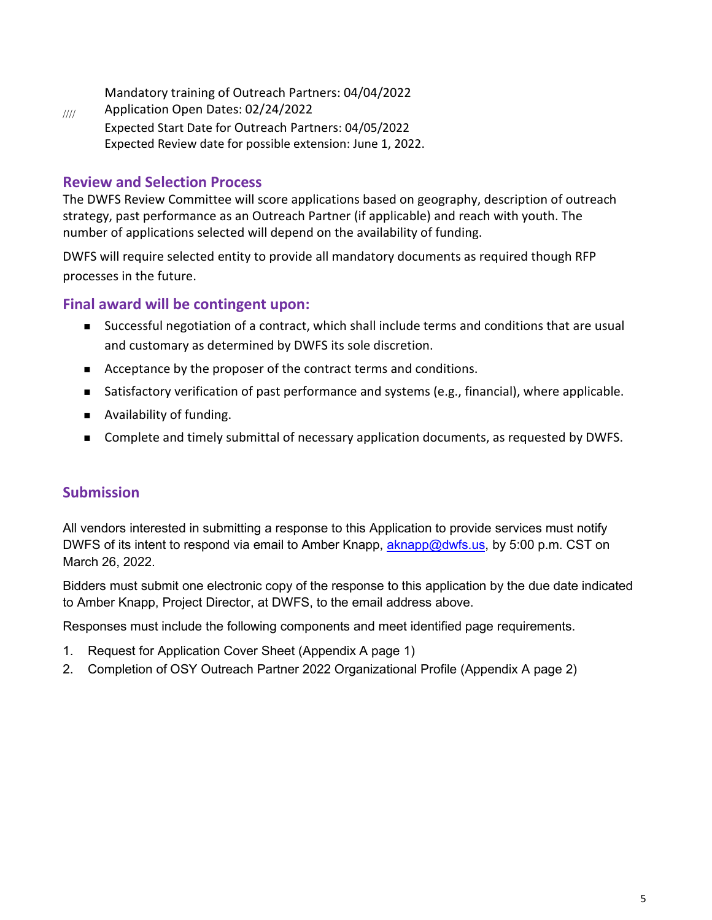Mandatory training of Outreach Partners: 04/22/2022

//// Application Open Dates: 02/24/2022 Expected Start Date for Outreach Partners: 04/26/2022 Expected Review date for possible extension: June 1, 2022.

## **Review and Selection Process**

The DWFS Review Committee will score applications based on geography, description of outreach strategy, past performance as an Outreach Partner (if applicable) and reach with youth. The number of applications selected will depend on the availability of funding.

DWFS will require selected entity to provide all mandatory documents as required though RFP processes in the future.

## **Final award will be contingent upon:**

- Successful negotiation of a contract, which shall include terms and conditions that are usual and customary as determined by DWFS its sole discretion.
- Acceptance by the proposer of the contract terms and conditions.
- Satisfactory verification of past performance and systems (e.g., financial), where applicable.
- **Availability of funding.**
- **Complete and timely submittal of necessary application documents, as requested by DWFS.**

# **Submission**

All vendors interested in submitting a response to this Application to provide services must notify DWFS of its intent to respond via email to Amber Knapp, [aknapp@dwfs.us,](mailto:aknapp@dwfs.us) by 5:00 p.m. CST on April 12, 2022.

Bidders must submit one electronic copy of the response to this application by the due date indicated to Amber Knapp, Project Director, at DWFS, to the email address above.

Responses must include the following components and meet identified page requirements.

- 1. Request for Application Cover Sheet (Appendix A page 1)
- 2. Completion of OSY Outreach Partner 2022 Organizational Profile (Appendix A page 2)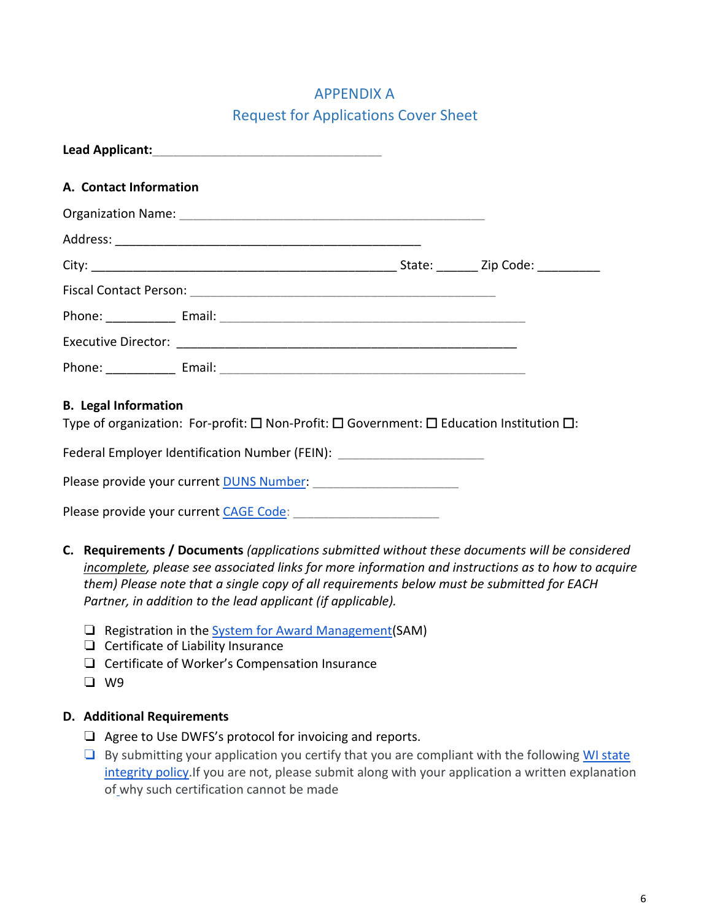# APPENDIX A Request for Applications Cover Sheet

| A. Contact Information |  |                                      |
|------------------------|--|--------------------------------------|
|                        |  |                                      |
|                        |  |                                      |
|                        |  | State: ________ Zip Code: __________ |
|                        |  |                                      |
|                        |  |                                      |
|                        |  |                                      |
|                        |  |                                      |

## **B. Legal Information**

Type of organization: For-profit: ☐ Non-Profit: ☐ Government: ☐ Education Institution ☐:

Federal Employer Identification Number (FEIN): \_\_\_\_\_\_\_\_\_\_\_\_\_\_\_\_\_\_\_\_\_\_\_\_\_\_\_\_\_\_\_\_\_

Please provide your curren[t DUNS Number:](https://www.dnb.com/duns-number/get-a-duns.html)

Please provide your current [CAGE Code:](https://cage.dla.mil/) \_\_\_\_\_\_\_\_\_\_\_\_\_\_\_\_\_\_\_\_\_

- **C. Requirements / Documents** *(applications submitted without these documents will be considered incomplete, please see associated links for more information and instructions as to how to acquire them) Please note that a single copy of all requirements below must be submitted for EACH Partner, in addition to the lead applicant (if applicable).*
	- ❏ Registration in the [System for Award Management\(](https://www.sam.gov/SAM/)SAM)
	- ❏ Certificate of Liability Insurance
	- ❏ Certificate of Worker's Compensation Insurance
	- ❏ W9

#### **D. Additional Requirements**

- ❏ Agree to Use DWFS's protocol for invoicing and reports.
- $\Box$  By submitting your application you certify that you are compliant with the following [WI state](https://www.health.pa.gov/topics/Documents/Administrative/contractor_integrity_provisions_7-30-10_doc.pdf) [integrity policy.](https://www.health.pa.gov/topics/Documents/Administrative/contractor_integrity_provisions_7-30-10_doc.pdf) If you are not, please submit along with your application a written explanation of why such certification cannot be made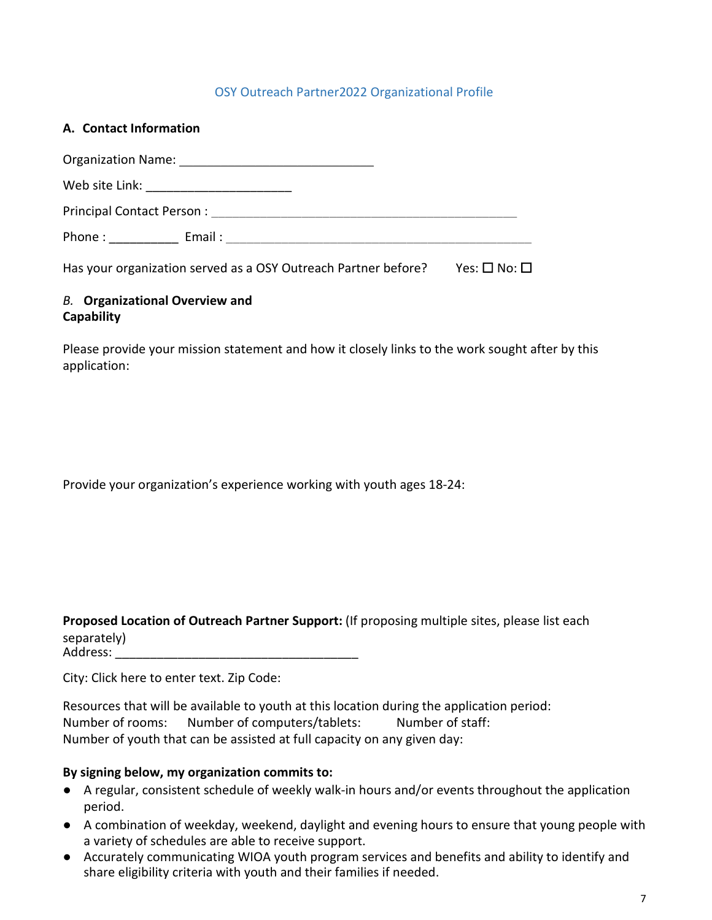#### OSY Outreach Partner2022 Organizational Profile

| A. Contact Information                                                                                                                                                                                                         |  |
|--------------------------------------------------------------------------------------------------------------------------------------------------------------------------------------------------------------------------------|--|
|                                                                                                                                                                                                                                |  |
|                                                                                                                                                                                                                                |  |
|                                                                                                                                                                                                                                |  |
| Phone: The control of the control of the control of the control of the control of the control of the control of the control of the control of the control of the control of the control of the control of the control of the c |  |

Has your organization served as a OSY Outreach Partner before? Yes: □ No: □

#### *B.* **Organizational Overview and Capability**

Please provide your mission statement and how it closely links to the work sought after by this application:

Provide your organization's experience working with youth ages 18-24:

**Proposed Location of Outreach Partner Support:** (If proposing multiple sites, please list each separately) Address: \_\_\_\_\_\_\_\_\_\_\_\_\_\_\_\_\_\_\_\_\_\_\_\_\_\_\_\_\_\_\_\_\_\_\_

City: Click here to enter text. Zip Code:

Resources that will be available to youth at this location during the application period: Number of rooms: Number of computers/tablets: Number of staff: Number of youth that can be assisted at full capacity on any given day:

#### **By signing below, my organization commits to:**

- A regular, consistent schedule of weekly walk-in hours and/or events throughout the application period.
- A combination of weekday, weekend, daylight and evening hours to ensure that young people with a variety of schedules are able to receive support.
- Accurately communicating WIOA youth program services and benefits and ability to identify and share eligibility criteria with youth and their families if needed.